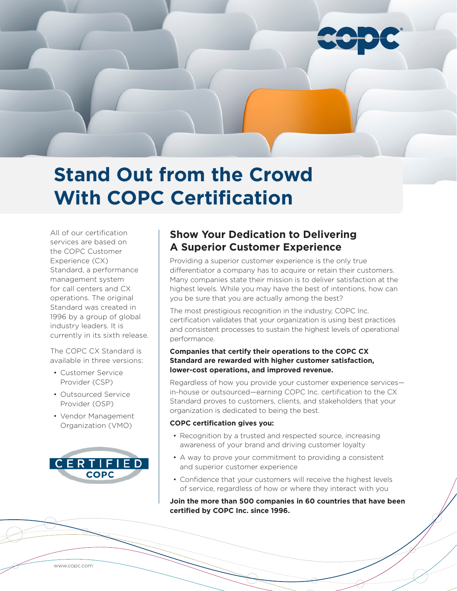

# **Stand Out from the Crowd With COPC Certification**

All of our certification services are based on the COPC Customer Experience (CX) Standard, a performance management system for call centers and CX operations. The original Standard was created in 1996 by a group of global industry leaders. It is currently in its sixth release.

The COPC CX Standard is available in three versions:

- Customer Service Provider (CSP)
- Outsourced Service Provider (OSP)
- Vendor Management Organization (VMO)



# **Show Your Dedication to Delivering A Superior Customer Experience**

Providing a superior customer experience is the only true differentiator a company has to acquire or retain their customers. Many companies state their mission is to deliver satisfaction at the highest levels. While you may have the best of intentions, how can you be sure that you are actually among the best?

The most prestigious recognition in the industry, COPC Inc. certification validates that your organization is using best practices and consistent processes to sustain the highest levels of operational performance.

## **Companies that certify their operations to the COPC CX Standard are rewarded with higher customer satisfaction, lower-cost operations, and improved revenue.**

Regardless of how you provide your customer experience services in-house or outsourced—earning COPC Inc. certification to the CX Standard proves to customers, clients, and stakeholders that your organization is dedicated to being the best.

## **COPC certification gives you:**

- Recognition by a trusted and respected source, increasing awareness of your brand and driving customer loyalty
- A way to prove your commitment to providing a consistent and superior customer experience
- Confidence that your customers will receive the highest levels of service, regardless of how or where they interact with you

**Join the more than 500 companies in 60 countries that have been certified by COPC Inc. since 1996.**

www.copc.com